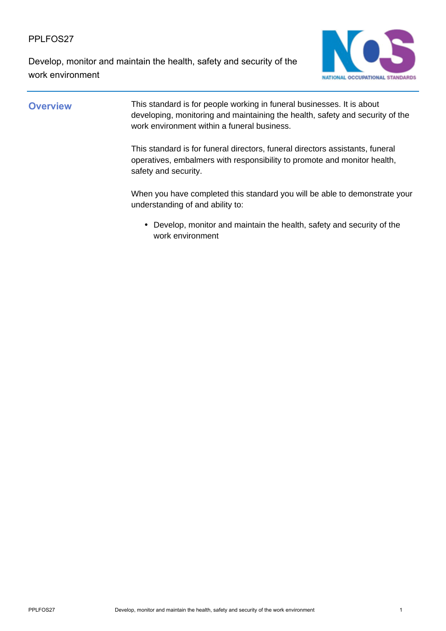Develop, monitor and maintain the health, safety and security of the work environment



**Overview** This standard is for people working in funeral businesses. It is about developing, monitoring and maintaining the health, safety and security of the work environment within a funeral business.

> This standard is for funeral directors, funeral directors assistants, funeral operatives, embalmers with responsibility to promote and monitor health, safety and security.

When you have completed this standard you will be able to demonstrate your understanding of and ability to:

Develop, monitor and maintain the health, safety and security of the • work environment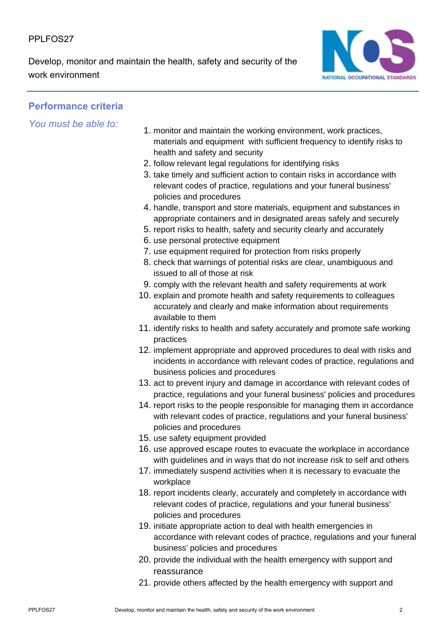Develop, monitor and maintain the health, safety and security of the work environment



# **Performance criteria**

*You must be able to:*

- 1. monitor and maintain the working environment, work practices, materials and equipment with sufficient frequency to identify risks to health and safety and security
- 2. follow relevant legal regulations for identifying risks
- 3. take timely and sufficient action to contain risks in accordance with relevant codes of practice, regulations and your funeral business' policies and procedures
- 4. handle, transport and store materials, equipment and substances in appropriate containers and in designated areas safely and securely
- 5. report risks to health, safety and security clearly and accurately
- 6. use personal protective equipment
- 7. use equipment required for protection from risks properly
- 8. check that warnings of potential risks are clear, unambiguous and issued to all of those at risk
- 9. comply with the relevant health and safety requirements at work
- 10. explain and promote health and safety requirements to colleagues accurately and clearly and make information about requirements available to them
- 11. identify risks to health and safety accurately and promote safe working practices
- 12. implement appropriate and approved procedures to deal with risks and incidents in accordance with relevant codes of practice, regulations and business policies and procedures
- 13. act to prevent injury and damage in accordance with relevant codes of practice, regulations and your funeral business' policies and procedures
- 14. report risks to the people responsible for managing them in accordance with relevant codes of practice, regulations and your funeral business' policies and procedures
- 15. use safety equipment provided
- 16. use approved escape routes to evacuate the workplace in accordance with guidelines and in ways that do not increase risk to self and others
- 17. immediately suspend activities when it is necessary to evacuate the workplace
- 18. report incidents clearly, accurately and completely in accordance with relevant codes of practice, regulations and your funeral business' policies and procedures
- 19. initiate appropriate action to deal with health emergencies in accordance with relevant codes of practice, regulations and your funeral business' policies and procedures
- 20. provide the individual with the health emergency with support and reassurance
- 21. provide others affected by the health emergency with support and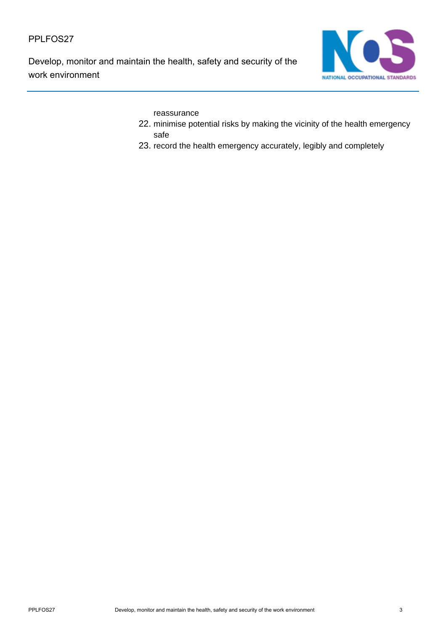Develop, monitor and maintain the health, safety and security of the work environment



reassurance

- 22. minimise potential risks by making the vicinity of the health emergency safe
- 23. record the health emergency accurately, legibly and completely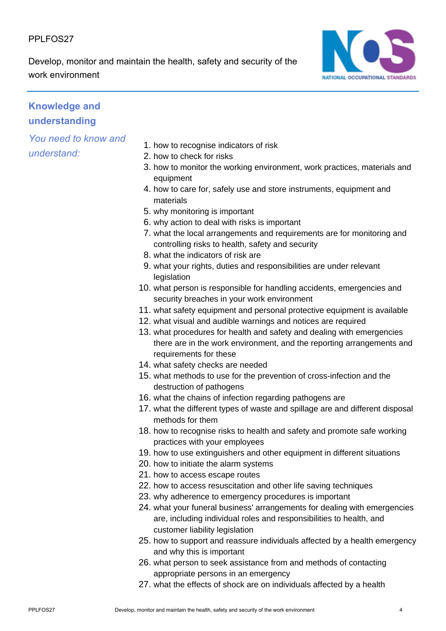Develop, monitor and maintain the health, safety and security of the work environment



# **Knowledge and understanding**

*You need to know and understand:*

- 1. how to recognise indicators of risk
- 2. how to check for risks
- 3. how to monitor the working environment, work practices, materials and equipment
- 4. how to care for, safely use and store instruments, equipment and materials
- 5. why monitoring is important
- 6. why action to deal with risks is important
- 7. what the local arrangements and requirements are for monitoring and controlling risks to health, safety and security
- 8. what the indicators of risk are
- 9. what your rights, duties and responsibilities are under relevant **legislation**
- 10. what person is responsible for handling accidents, emergencies and security breaches in your work environment
- 11. what safety equipment and personal protective equipment is available
- 12. what visual and audible warnings and notices are required
- 13. what procedures for health and safety and dealing with emergencies there are in the work environment, and the reporting arrangements and requirements for these
- 14. what safety checks are needed
- 15. what methods to use for the prevention of cross-infection and the destruction of pathogens
- 16. what the chains of infection regarding pathogens are
- 17. what the different types of waste and spillage are and different disposal methods for them
- 18. how to recognise risks to health and safety and promote safe working practices with your employees
- 19. how to use extinguishers and other equipment in different situations
- 20. how to initiate the alarm systems
- 21. how to access escape routes
- 22. how to access resuscitation and other life saving techniques
- 23. why adherence to emergency procedures is important
- 24. what your funeral business' arrangements for dealing with emergencies are, including individual roles and responsibilities to health, and customer liability legislation
- 25. how to support and reassure individuals affected by a health emergency and why this is important
- 26. what person to seek assistance from and methods of contacting appropriate persons in an emergency
- 27. what the effects of shock are on individuals affected by a health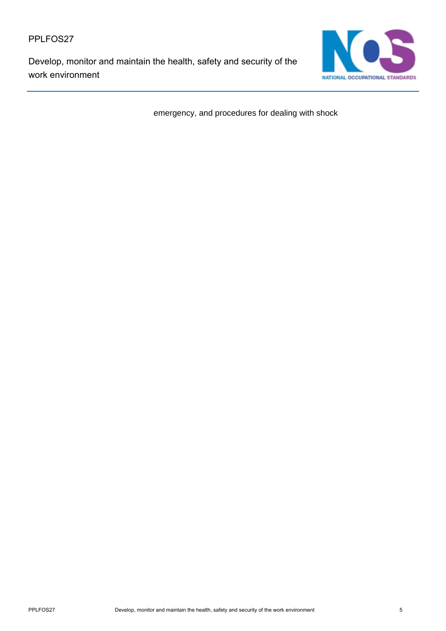Develop, monitor and maintain the health, safety and security of the work environment



emergency, and procedures for dealing with shock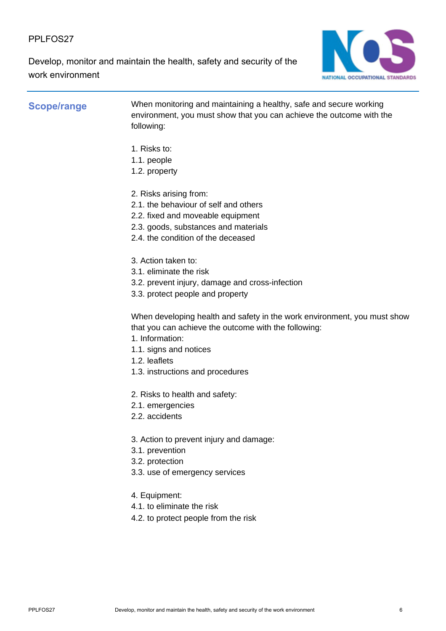Develop, monitor and maintain the health, safety and security of the work environment



**Scope/range** When monitoring and maintaining a healthy, safe and secure working environment, you must show that you can achieve the outcome with the following:

- 1. Risks to:
- 1.1. people
- 1.2. property
- 2. Risks arising from:
- 2.1. the behaviour of self and others
- 2.2. fixed and moveable equipment
- 2.3. goods, substances and materials
- 2.4. the condition of the deceased
- 3. Action taken to:
- 3.1. eliminate the risk
- 3.2. prevent injury, damage and cross-infection
- 3.3. protect people and property

When developing health and safety in the work environment, you must show that you can achieve the outcome with the following:

- 1. Information:
- 1.1. signs and notices
- 1.2. leaflets
- 1.3. instructions and procedures
- 2. Risks to health and safety:
- 2.1. emergencies
- 2.2. accidents
- 3. Action to prevent injury and damage:
- 3.1. prevention
- 3.2. protection
- 3.3. use of emergency services
- 4. Equipment:
- 4.1. to eliminate the risk
- 4.2. to protect people from the risk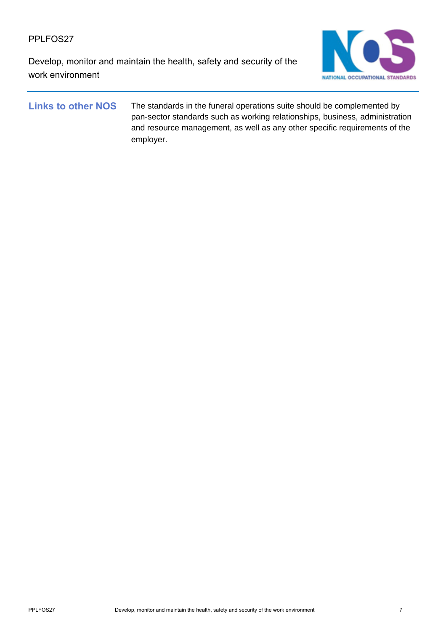Develop, monitor and maintain the health, safety and security of the work environment



Links to other NOS The standards in the funeral operations suite should be complemented by pan-sector standards such as working relationships, business, administration and resource management, as well as any other specific requirements of the employer.